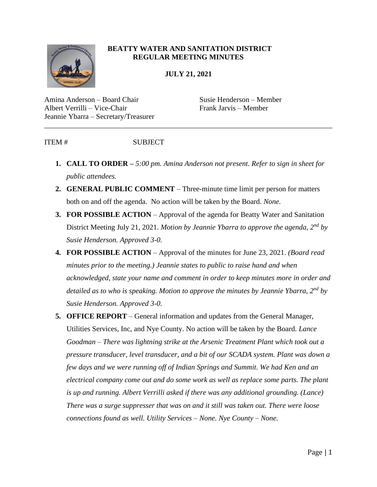

## **BEATTY WATER AND SANITATION DISTRICT REGULAR MEETING MINUTES**

**JULY 21, 2021**

\_\_\_\_\_\_\_\_\_\_\_\_\_\_\_\_\_\_\_\_\_\_\_\_\_\_\_\_\_\_\_\_\_\_\_\_\_\_\_\_\_\_\_\_\_\_\_\_\_\_\_\_\_\_\_\_\_\_\_\_\_\_\_\_\_\_\_\_\_\_\_\_\_\_\_\_\_\_

Amina Anderson – Board Chair Susie Henderson – Member Albert Verrilli – Vice-Chair Frank Jarvis – Member Jeannie Ybarra – Secretary/Treasurer

ITEM # SUBJECT

- **1. CALL TO ORDER –** *5:00 pm. Amina Anderson not present. Refer to sign in sheet for public attendees.*
- **2. GENERAL PUBLIC COMMENT** Three-minute time limit per person for matters both on and off the agenda. No action will be taken by the Board. *None.*
- **3. FOR POSSIBLE ACTION** Approval of the agenda for Beatty Water and Sanitation District Meeting July 21, 2021. *Motion by Jeannie Ybarra to approve the agenda, 2nd by Susie Henderson. Approved 3-0.*
- **4. FOR POSSIBLE ACTION**  Approval of the minutes for June 23, 2021. *(Board read minutes prior to the meeting.) Jeannie states to public to raise hand and when acknowledged, state your name and comment in order to keep minutes more in order and detailed as to who is speaking. Motion to approve the minutes by Jeannie Ybarra, 2nd by Susie Henderson. Approved 3-0.*
- **5. OFFICE REPORT**  General information and updates from the General Manager, Utilities Services, Inc, and Nye County. No action will be taken by the Board. *Lance Goodman – There was lightning strike at the Arsenic Treatment Plant which took out a pressure transducer, level transducer, and a bit of our SCADA system. Plant was down a few days and we were running off of Indian Springs and Summit. We had Ken and an electrical company come out and do some work as well as replace some parts. The plant is up and running. Albert Verrilli asked if there was any additional grounding. (Lance) There was a surge suppresser that was on and it still was taken out. There were loose connections found as well. Utility Services – None. Nye County – None.*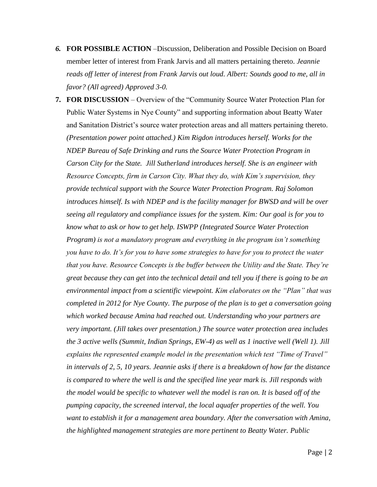- *6.* **FOR POSSIBLE ACTION** –Discussion, Deliberation and Possible Decision on Board member letter of interest from Frank Jarvis and all matters pertaining thereto. *Jeannie reads off letter of interest from Frank Jarvis out loud. Albert: Sounds good to me, all in favor? (All agreed) Approved 3-0.*
- **7. FOR DISCUSSION** Overview of the "Community Source Water Protection Plan for Public Water Systems in Nye County" and supporting information about Beatty Water and Sanitation District's source water protection areas and all matters pertaining thereto. *(Presentation power point attached.) Kim Rigdon introduces herself. Works for the NDEP Bureau of Safe Drinking and runs the Source Water Protection Program in Carson City for the State. Jill Sutherland introduces herself. She is an engineer with Resource Concepts, firm in Carson City. What they do, with Kim's supervision, they provide technical support with the Source Water Protection Program. Raj Solomon introduces himself. Is with NDEP and is the facility manager for BWSD and will be over seeing all regulatory and compliance issues for the system. Kim: Our goal is for you to know what to ask or how to get help. ISWPP (Integrated Source Water Protection Program) is not a mandatory program and everything in the program isn't something you have to do. It's for you to have some strategies to have for you to protect the water that you have. Resource Concepts is the buffer between the Utility and the State. They're great because they can get into the technical detail and tell you if there is going to be an environmental impact from a scientific viewpoint. Kim elaborates on the "Plan" that was completed in 2012 for Nye County. The purpose of the plan is to get a conversation going which worked because Amina had reached out. Understanding who your partners are very important. (Jill takes over presentation.) The source water protection area includes the 3 active wells (Summit, Indian Springs, EW-4) as well as 1 inactive well (Well 1). Jill explains the represented example model in the presentation which test "Time of Travel" in intervals of 2, 5, 10 years. Jeannie asks if there is a breakdown of how far the distance is compared to where the well is and the specified line year mark is. Jill responds with the model would be specific to whatever well the model is ran on. It is based off of the pumping capacity, the screened interval, the local aquafer properties of the well. You*  want to establish it for a management area boundary. After the conversation with Amina, *the highlighted management strategies are more pertinent to Beatty Water. Public*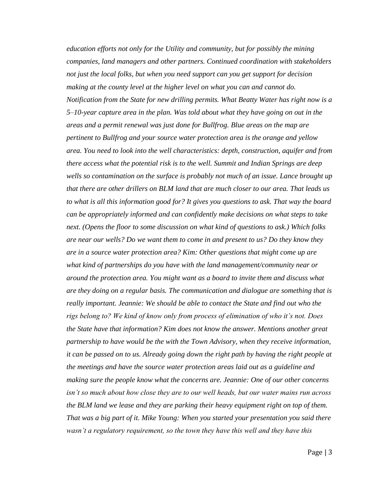*education efforts not only for the Utility and community, but for possibly the mining companies, land managers and other partners. Continued coordination with stakeholders not just the local folks, but when you need support can you get support for decision making at the county level at the higher level on what you can and cannot do. Notification from the State for new drilling permits. What Beatty Water has right now is a 5–10-year capture area in the plan. Was told about what they have going on out in the areas and a permit renewal was just done for Bullfrog. Blue areas on the map are pertinent to Bullfrog and your source water protection area is the orange and yellow area. You need to look into the well characteristics: depth, construction, aquifer and from there access what the potential risk is to the well. Summit and Indian Springs are deep*  wells so contamination on the surface is probably not much of an issue. Lance brought up *that there are other drillers on BLM land that are much closer to our area. That leads us to what is all this information good for? It gives you questions to ask. That way the board can be appropriately informed and can confidently make decisions on what steps to take next. (Opens the floor to some discussion on what kind of questions to ask.) Which folks are near our wells? Do we want them to come in and present to us? Do they know they are in a source water protection area? Kim: Other questions that might come up are what kind of partnerships do you have with the land management/community near or around the protection area. You might want as a board to invite them and discuss what are they doing on a regular basis. The communication and dialogue are something that is really important. Jeannie: We should be able to contact the State and find out who the rigs belong to? We kind of know only from process of elimination of who it's not. Does the State have that information? Kim does not know the answer. Mentions another great partnership to have would be the with the Town Advisory, when they receive information, it can be passed on to us. Already going down the right path by having the right people at the meetings and have the source water protection areas laid out as a guideline and making sure the people know what the concerns are. Jeannie: One of our other concerns isn't so much about how close they are to our well heads, but our water mains run across the BLM land we lease and they are parking their heavy equipment right on top of them. That was a big part of it. Mike Young: When you started your presentation you said there wasn't a regulatory requirement, so the town they have this well and they have this*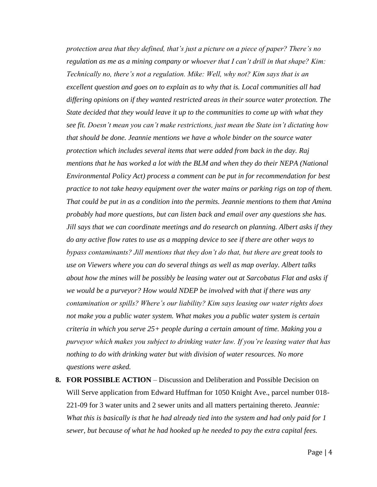*protection area that they defined, that's just a picture on a piece of paper? There's no regulation as me as a mining company or whoever that I can't drill in that shape? Kim: Technically no, there's not a regulation. Mike: Well, why not? Kim says that is an excellent question and goes on to explain as to why that is. Local communities all had differing opinions on if they wanted restricted areas in their source water protection. The State decided that they would leave it up to the communities to come up with what they see fit. Doesn't mean you can't make restrictions, just mean the State isn't dictating how that should be done. Jeannie mentions we have a whole binder on the source water protection which includes several items that were added from back in the day. Raj mentions that he has worked a lot with the BLM and when they do their NEPA (National Environmental Policy Act) process a comment can be put in for recommendation for best practice to not take heavy equipment over the water mains or parking rigs on top of them. That could be put in as a condition into the permits. Jeannie mentions to them that Amina probably had more questions, but can listen back and email over any questions she has. Jill says that we can coordinate meetings and do research on planning. Albert asks if they do any active flow rates to use as a mapping device to see if there are other ways to bypass contaminants? Jill mentions that they don't do that, but there are great tools to use on Viewers where you can do several things as well as map overlay. Albert talks about how the mines will be possibly be leasing water out at Sarcobatus Flat and asks if we would be a purveyor? How would NDEP be involved with that if there was any contamination or spills? Where's our liability? Kim says leasing our water rights does not make you a public water system. What makes you a public water system is certain criteria in which you serve 25+ people during a certain amount of time. Making you a purveyor which makes you subject to drinking water law. If you're leasing water that has nothing to do with drinking water but with division of water resources. No more questions were asked.* 

**8. FOR POSSIBLE ACTION** – Discussion and Deliberation and Possible Decision on Will Serve application from Edward Huffman for 1050 Knight Ave., parcel number 018- 221-09 for 3 water units and 2 sewer units and all matters pertaining thereto. *Jeannie: What this is basically is that he had already tied into the system and had only paid for 1 sewer, but because of what he had hooked up he needed to pay the extra capital fees.*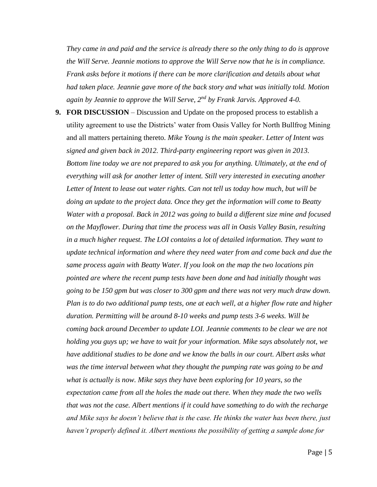*They came in and paid and the service is already there so the only thing to do is approve the Will Serve. Jeannie motions to approve the Will Serve now that he is in compliance. Frank asks before it motions if there can be more clarification and details about what had taken place. Jeannie gave more of the back story and what was initially told. Motion again by Jeannie to approve the Will Serve, 2nd by Frank Jarvis. Approved 4-0.*

**9. FOR DISCUSSION** – Discussion and Update on the proposed process to establish a utility agreement to use the Districts' water from Oasis Valley for North Bullfrog Mining and all matters pertaining thereto. *Mike Young is the main speaker. Letter of Intent was signed and given back in 2012. Third-party engineering report was given in 2013. Bottom line today we are not prepared to ask you for anything. Ultimately, at the end of everything will ask for another letter of intent. Still very interested in executing another Letter of Intent to lease out water rights. Can not tell us today how much, but will be doing an update to the project data. Once they get the information will come to Beatty Water with a proposal. Back in 2012 was going to build a different size mine and focused on the Mayflower. During that time the process was all in Oasis Valley Basin, resulting in a much higher request. The LOI contains a lot of detailed information. They want to update technical information and where they need water from and come back and due the same process again with Beatty Water. If you look on the map the two locations pin pointed are where the recent pump tests have been done and had initially thought was going to be 150 gpm but was closer to 300 gpm and there was not very much draw down. Plan is to do two additional pump tests, one at each well, at a higher flow rate and higher duration. Permitting will be around 8-10 weeks and pump tests 3-6 weeks. Will be coming back around December to update LOI. Jeannie comments to be clear we are not holding you guys up; we have to wait for your information. Mike says absolutely not, we have additional studies to be done and we know the balls in our court. Albert asks what was the time interval between what they thought the pumping rate was going to be and what is actually is now. Mike says they have been exploring for 10 years, so the expectation came from all the holes the made out there. When they made the two wells that was not the case. Albert mentions if it could have something to do with the recharge and Mike says he doesn't believe that is the case. He thinks the water has been there, just haven't properly defined it. Albert mentions the possibility of getting a sample done for*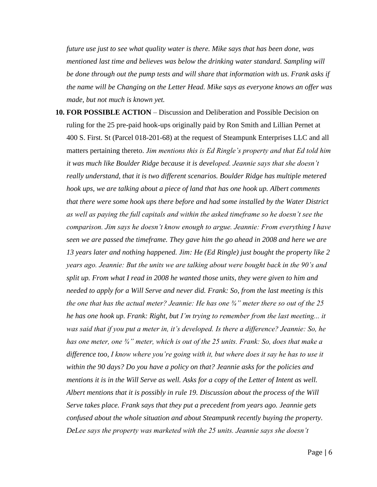*future use just to see what quality water is there. Mike says that has been done, was mentioned last time and believes was below the drinking water standard. Sampling will be done through out the pump tests and will share that information with us. Frank asks if the name will be Changing on the Letter Head. Mike says as everyone knows an offer was made, but not much is known yet.* 

**10. FOR POSSIBLE ACTION** – Discussion and Deliberation and Possible Decision on ruling for the 25 pre-paid hook-ups originally paid by Ron Smith and Lillian Pernet at 400 S. First. St (Parcel 018-201-68) at the request of Steampunk Enterprises LLC and all matters pertaining thereto. *Jim mentions this is Ed Ringle's property and that Ed told him it was much like Boulder Ridge because it is developed. Jeannie says that she doesn't really understand, that it is two different scenarios. Boulder Ridge has multiple metered hook ups, we are talking about a piece of land that has one hook up. Albert comments that there were some hook ups there before and had some installed by the Water District as well as paying the full capitals and within the asked timeframe so he doesn't see the comparison. Jim says he doesn't know enough to argue. Jeannie: From everything I have seen we are passed the timeframe. They gave him the go ahead in 2008 and here we are 13 years later and nothing happened. Jim: He (Ed Ringle) just bought the property like 2 years ago. Jeannie: But the units we are talking about were bought back in the 90's and split up. From what I read in 2008 he wanted those units, they were given to him and needed to apply for a Will Serve and never did. Frank: So, from the last meeting is this the one that has the actual meter? Jeannie: He has one ¾" meter there so out of the 25 he has one hook up. Frank: Right, but I'm trying to remember from the last meeting... it was said that if you put a meter in, it's developed. Is there a difference? Jeannie: So, he has one meter, one ¾" meter, which is out of the 25 units. Frank: So, does that make a difference too, I know where you're going with it, but where does it say he has to use it within the 90 days? Do you have a policy on that? Jeannie asks for the policies and mentions it is in the Will Serve as well. Asks for a copy of the Letter of Intent as well. Albert mentions that it is possibly in rule 19. Discussion about the process of the Will Serve takes place. Frank says that they put a precedent from years ago. Jeannie gets confused about the whole situation and about Steampunk recently buying the property. DeLee says the property was marketed with the 25 units. Jeannie says she doesn't*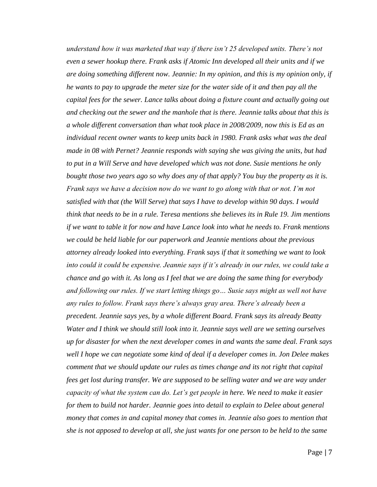*understand how it was marketed that way if there isn't 25 developed units. There's not even a sewer hookup there. Frank asks if Atomic Inn developed all their units and if we are doing something different now. Jeannie: In my opinion, and this is my opinion only, if he wants to pay to upgrade the meter size for the water side of it and then pay all the capital fees for the sewer. Lance talks about doing a fixture count and actually going out and checking out the sewer and the manhole that is there. Jeannie talks about that this is a whole different conversation than what took place in 2008/2009, now this is Ed as an individual recent owner wants to keep units back in 1980. Frank asks what was the deal made in 08 with Pernet? Jeannie responds with saying she was giving the units, but had to put in a Will Serve and have developed which was not done. Susie mentions he only bought those two years ago so why does any of that apply? You buy the property as it is. Frank says we have a decision now do we want to go along with that or not. I'm not satisfied with that (the Will Serve) that says I have to develop within 90 days. I would think that needs to be in a rule. Teresa mentions she believes its in Rule 19. Jim mentions if we want to table it for now and have Lance look into what he needs to. Frank mentions we could be held liable for our paperwork and Jeannie mentions about the previous attorney already looked into everything. Frank says if that it something we want to look into could it could be expensive. Jeannie says if it's already in our rules, we could take a chance and go with it. As long as I feel that we are doing the same thing for everybody and following our rules. If we start letting things go… Susie says might as well not have any rules to follow. Frank says there's always gray area. There's already been a precedent. Jeannie says yes, by a whole different Board. Frank says its already Beatty Water and I think we should still look into it. Jeannie says well are we setting ourselves up for disaster for when the next developer comes in and wants the same deal. Frank says well I hope we can negotiate some kind of deal if a developer comes in. Jon Delee makes comment that we should update our rules as times change and its not right that capital fees get lost during transfer. We are supposed to be selling water and we are way under capacity of what the system can do. Let's get people in here. We need to make it easier for them to build not harder. Jeannie goes into detail to explain to Delee about general money that comes in and capital money that comes in. Jeannie also goes to mention that she is not apposed to develop at all, she just wants for one person to be held to the same*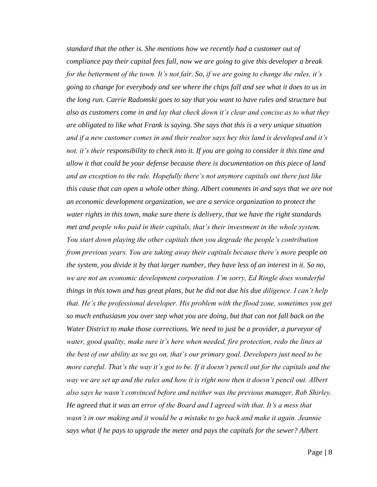*standard that the other is. She mentions how we recently had a customer out of compliance pay their capital fees full, now we are going to give this developer a break for the betterment of the town. It's not fair. So, if we are going to change the rules, it's going to change for everybody and see where the chips fall and see what it does to us in the long run. Carrie Radomski goes to say that you want to have rules and structure but also as customers come in and lay that check down it's clear and concise as to what they are obligated to like what Frank is saying. She says that this is a very unique situation and if a new customer comes in and their realtor says hey this land is developed and it's not, it's their responsibility to check into it. If you are going to consider it this time and allow it that could be your defense because there is documentation on this piece of land and an exception to the rule. Hopefully there's not anymore capitals out there just like this cause that can open a whole other thing. Albert comments in and says that we are not an economic development organization, we are a service organization to protect the water rights in this town, make sure there is delivery, that we have the right standards met and people who paid in their capitals, that's their investment in the whole system. You start down playing the other capitals then you degrade the people's contribution from previous years. You are taking away their capitals because there's more people on the system, you divide it by that larger number, they have less of an interest in it. So no, we are not an economic development corporation. I'm sorry, Ed Ringle does wonderful things in this town and has great plans, but he did not due his due diligence. I can't help that. He's the professional developer. His problem with the flood zone, sometimes you get so much enthusiasm you over step what you are doing, but that can not fall back on the Water District to make those corrections. We need to just be a provider, a purveyor of water, good quality, make sure it's here when needed, fire protection, redo the lines at the best of our ability as we go on, that's our primary goal. Developers just need to be more careful. That's the way it's got to be. If it doesn't pencil out for the capitals and the way we are set up and the rules and how it is right now then it doesn't pencil out. Albert also says he wasn't convinced before and neither was the previous manager, Rob Shirley. He agreed that it was an error of the Board and I agreed with that. It's a mess that wasn't in our making and it would be a mistake to go back and make it again. Jeannie says what if he pays to upgrade the meter and pays the capitals for the sewer? Albert*